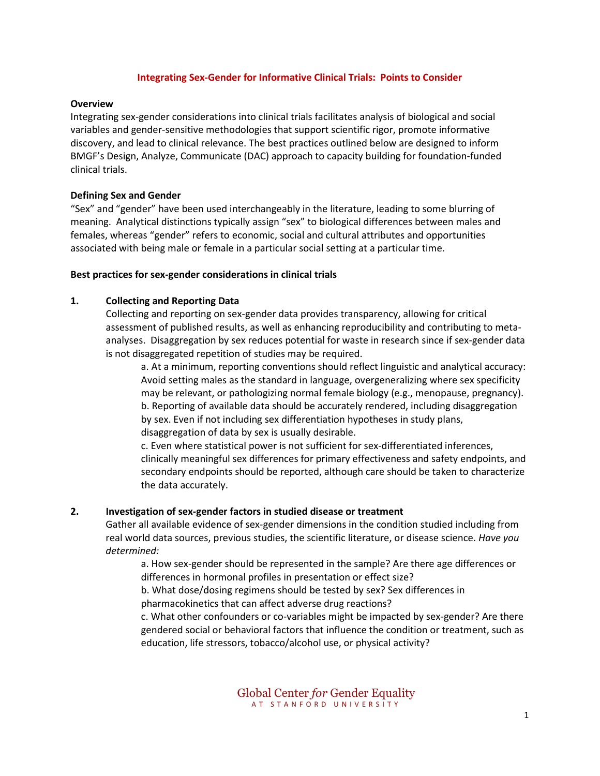### **Integrating Sex-Gender for Informative Clinical Trials: Points to Consider**

#### **Overview**

Integrating sex-gender considerations into clinical trials facilitates analysis of biological and social variables and gender-sensitive methodologies that support scientific rigor, promote informative discovery, and lead to clinical relevance. The best practices outlined below are designed to inform BMGF's Design, Analyze, Communicate (DAC) approach to capacity building for foundation-funded clinical trials.

#### **Defining Sex and Gender**

"Sex" and "gender" have been used interchangeably in the literature, leading to some blurring of meaning. Analytical distinctions typically assign "sex" to biological differences between males and females, whereas "gender" refers to economic, social and cultural attributes and opportunities associated with being male or female in a particular social setting at a particular time.

#### **Best practices for sex-gender considerations in clinical trials**

#### **1. Collecting and Reporting Data**

Collecting and reporting on sex-gender data provides transparency, allowing for critical assessment of published results, as well as enhancing reproducibility and contributing to metaanalyses. Disaggregation by sex reduces potential for waste in research since if sex-gender data is not disaggregated repetition of studies may be required.

a. At a minimum, reporting conventions should reflect linguistic and analytical accuracy: Avoid setting males as the standard in language, overgeneralizing where sex specificity may be relevant, or pathologizing normal female biology (e.g., menopause, pregnancy). b. Reporting of available data should be accurately rendered, including disaggregation by sex. Even if not including sex differentiation hypotheses in study plans, disaggregation of data by sex is usually desirable.

c. Even where statistical power is not sufficient for sex-differentiated inferences, clinically meaningful sex differences for primary effectiveness and safety endpoints, and secondary endpoints should be reported, although care should be taken to characterize the data accurately.

#### **2. Investigation of sex-gender factors in studied disease or treatment**

Gather all available evidence of sex-gender dimensions in the condition studied including from real world data sources, previous studies, the scientific literature, or disease science. *Have you determined:*

> a. How sex-gender should be represented in the sample? Are there age differences or differences in hormonal profiles in presentation or effect size?

b. What dose/dosing regimens should be tested by sex? Sex differences in pharmacokinetics that can affect adverse drug reactions?

c. What other confounders or co-variables might be impacted by sex-gender? Are there gendered social or behavioral factors that influence the condition or treatment, such as education, life stressors, tobacco/alcohol use, or physical activity?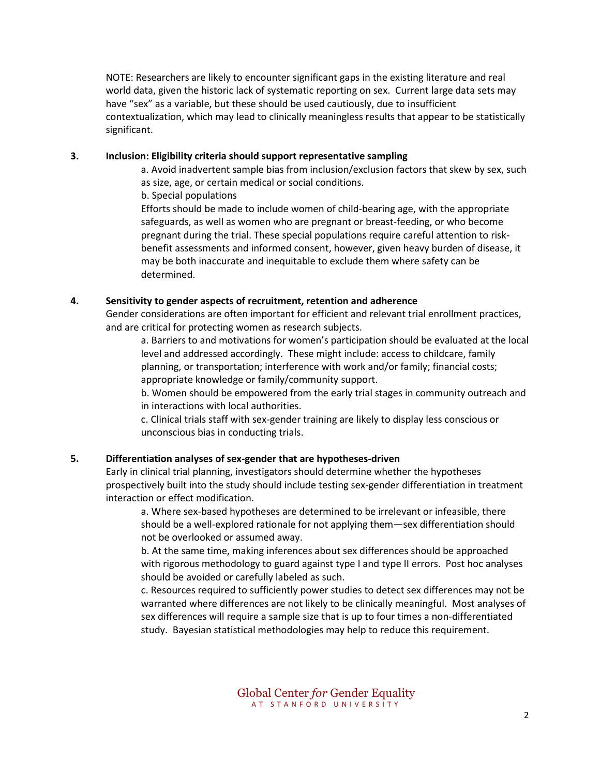NOTE: Researchers are likely to encounter significant gaps in the existing literature and real world data, given the historic lack of systematic reporting on sex. Current large data sets may have "sex" as a variable, but these should be used cautiously, due to insufficient contextualization, which may lead to clinically meaningless results that appear to be statistically significant.

### **3. Inclusion: Eligibility criteria should support representative sampling**

a. Avoid inadvertent sample bias from inclusion/exclusion factors that skew by sex, such as size, age, or certain medical or social conditions.

b. Special populations

Efforts should be made to include women of child-bearing age, with the appropriate safeguards, as well as women who are pregnant or breast-feeding, or who become pregnant during the trial. These special populations require careful attention to riskbenefit assessments and informed consent, however, given heavy burden of disease, it may be both inaccurate and inequitable to exclude them where safety can be determined.

### **4. Sensitivity to gender aspects of recruitment, retention and adherence**

Gender considerations are often important for efficient and relevant trial enrollment practices, and are critical for protecting women as research subjects.

a. Barriers to and motivations for women's participation should be evaluated at the local level and addressed accordingly. These might include: access to childcare, family planning, or transportation; interference with work and/or family; financial costs; appropriate knowledge or family/community support.

b. Women should be empowered from the early trial stages in community outreach and in interactions with local authorities.

c. Clinical trials staff with sex-gender training are likely to display less conscious or unconscious bias in conducting trials.

## **5. Differentiation analyses of sex-gender that are hypotheses-driven**

Early in clinical trial planning, investigators should determine whether the hypotheses prospectively built into the study should include testing sex-gender differentiation in treatment interaction or effect modification.

a. Where sex-based hypotheses are determined to be irrelevant or infeasible, there should be a well-explored rationale for not applying them—sex differentiation should not be overlooked or assumed away.

b. At the same time, making inferences about sex differences should be approached with rigorous methodology to guard against type I and type II errors. Post hoc analyses should be avoided or carefully labeled as such.

c. Resources required to sufficiently power studies to detect sex differences may not be warranted where differences are not likely to be clinically meaningful. Most analyses of sex differences will require a sample size that is up to four times a non-differentiated study. Bayesian statistical methodologies may help to reduce this requirement.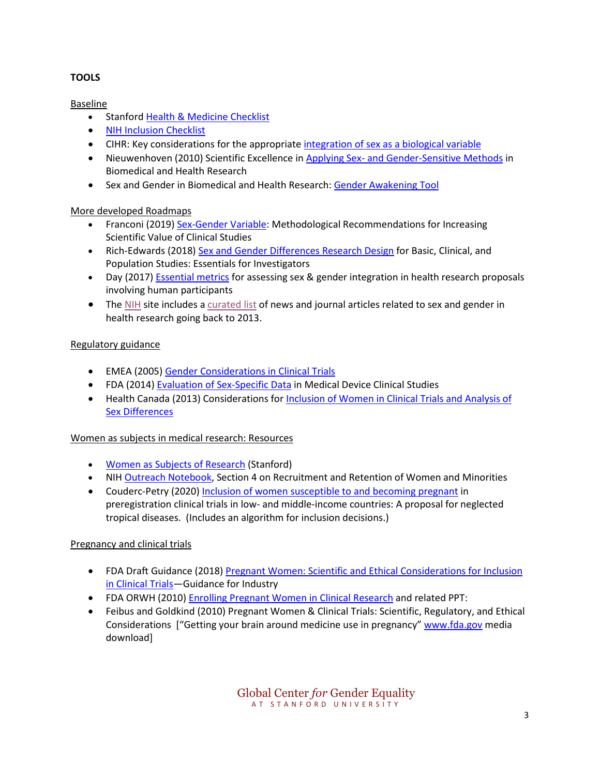# **TOOLS**

## Baseline

- Stanford [Health & Medicine Checklist](https://genderedinnovations.stanford.edu/methods/health_med_checklist.html)
- [NIH Inclusion Checklist](https://orwh.od.nih.gov/sites/orwh/files/docs/ORWH-2019-checklist-interactive.pdf)
- CIHR: Key considerations for the appropriate [integration of sex as a biological variable](https://cihr-irsc.gc.ca/e/documents/sgba_criteria_sex-en.pdf)
- Nieuwenhoven (2010) Scientific Excellence in Applying Sex- [and Gender-Sensitive Methods](https://pubmed.ncbi.nlm.nih.gov/20136550/) in Biomedical and Health Research
- Sex and Gender in Biomedical and Health Research: [Gender Awakening Tool](http://www.genderbasic.nl/downloads/pdf/WISER%20fest%20booklet%20extra%20pages.pdf)

## More developed Roadmaps

- Franconi (2019) [Sex-Gender Variable:](https://www.ncbi.nlm.nih.gov/pmc/articles/PMC6562815/) Methodological Recommendations for Increasing Scientific Value of Clinical Studies
- Rich-Edwards (2018[\) Sex and Gender Differences Research Design](https://pubmed.ncbi.nlm.nih.gov/29668873/) for Basic, Clinical, and Population Studies: Essentials for Investigators
- Day (2017) **[Essential metrics](https://cihr-irsc.gc.ca/e/50835.html)** for assessing sex & gender integration in health research proposals involving human participants
- The [NIH](https://orwh.od.nih.gov/sex-gender) site includes a [curated list](https://orwh.od.nih.gov/sex-gender/reading-room-news-and-journal-articles-about-studying-sexgender) of news and journal articles related to sex and gender in health research going back to 2013.

# Regulatory guidance

- EMEA (2005) [Gender Considerations in Clinical Trials](https://www.ema.europa.eu/en/documents/scientific-guideline/ich-gender-considerations-conduct-clinical-trials-step-5_en.pdf)
- FDA (2014) [Evaluation of Sex-Specific Data](https://www.fda.gov/regulatory-information/search-fda-guidance-documents/evaluation-sex-specific-data-medical-device-clinical-studies-guidance-industry-and-food-and-drug) in Medical Device Clinical Studies
- Health Canada (2013) Considerations for [Inclusion of Women in Clinical Trials and Analysis of](https://www.canada.ca/en/health-canada/services/drugs-health-products/drug-products/applications-submissions/guidance-documents/clinical-trials/considerations-inclusion-women-clinical-trials-analysis-data-sex-differences.html)  [Sex Differences](https://www.canada.ca/en/health-canada/services/drugs-health-products/drug-products/applications-submissions/guidance-documents/clinical-trials/considerations-inclusion-women-clinical-trials-analysis-data-sex-differences.html)

## Women as subjects in medical research: Resources

- Women [as Subjects of Research](https://doresearch.stanford.edu/policies/research-policy-handbook/human-subjects-and-stem-cells-research/women-subjects-research) (Stanford)
- NIH [Outreach Notebook,](http://www.chicagoamwa.org/uploads/2/8/7/0/28704181/outreach-notebook-2015.pdf) Section 4 on Recruitment and Retention of Women and Minorities
- Couderc-Petry (2020) [Inclusion of women susceptible to and becoming pregnant](https://www.ncbi.nlm.nih.gov/pmc/articles/PMC7289336/) in preregistration clinical trials in low- and middle-income countries: A proposal for neglected tropical diseases. (Includes an algorithm for inclusion decisions.)

## Pregnancy and clinical trials

- FDA Draft Guidance (2018) [Pregnant Women: Scientific and Ethical Considerations for Inclusion](https://www.fda.gov/regulatory-information/search-fda-guidance-documents/pregnant-women-scientific-and-ethical-considerations-inclusion-clinical-trials)  [in Clinical Trials—](https://www.fda.gov/regulatory-information/search-fda-guidance-documents/pregnant-women-scientific-and-ethical-considerations-inclusion-clinical-trials)Guidance for Industry
- FDA ORWH (2010[\) Enrolling Pregnant Women in Clinical Research](https://orwh.od.nih.gov/sites/orwh/files/docs/ORWH-EPW-Report-2010.pdf) and related PPT:
- Feibus and Goldkind (2010) Pregnant Women & Clinical Trials: Scientific, Regulatory, and Ethical Considerations ["Getting your brain around medicine use in pregnancy" [www.fda.gov](http://www.fda.gov/) media download]